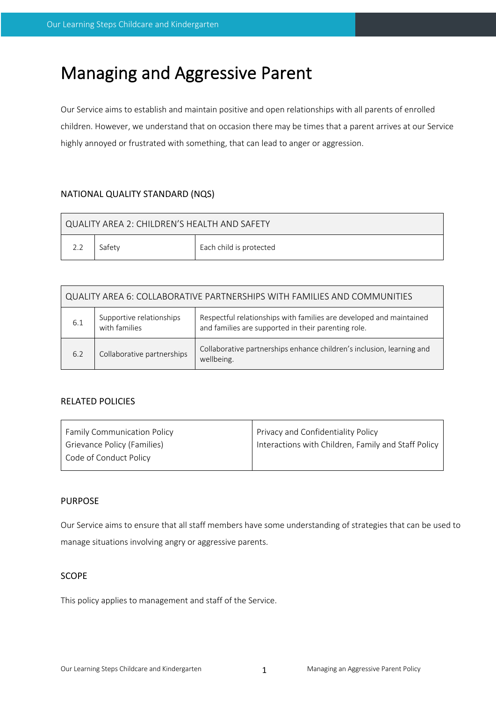# Managing and Aggressive Parent

Our Service aims to establish and maintain positive and open relationships with all parents of enrolled children. However, we understand that on occasion there may be times that a parent arrives at our Service highly annoyed or frustrated with something, that can lead to anger or aggression.

# NATIONAL QUALITY STANDARD (NQS)

| QUALITY AREA 2: CHILDREN'S HEALTH AND SAFETY |        |                         |  |  |  |
|----------------------------------------------|--------|-------------------------|--|--|--|
| 2.2                                          | Safetv | Each child is protected |  |  |  |

| QUALITY AREA 6: COLLABORATIVE PARTNERSHIPS WITH FAMILIES AND COMMUNITIES |                                           |                                                                                                                            |  |  |  |
|--------------------------------------------------------------------------|-------------------------------------------|----------------------------------------------------------------------------------------------------------------------------|--|--|--|
| 6.1                                                                      | Supportive relationships<br>with families | Respectful relationships with families are developed and maintained<br>and families are supported in their parenting role. |  |  |  |
| 6.2                                                                      | Collaborative partnerships                | Collaborative partnerships enhance children's inclusion, learning and<br>wellbeing.                                        |  |  |  |

# RELATED POLICIES

| Privacy and Confidentiality Policy                  |  |
|-----------------------------------------------------|--|
| Interactions with Children, Family and Staff Policy |  |
|                                                     |  |
|                                                     |  |

## PURPOSE

Our Service aims to ensure that all staff members have some understanding of strategies that can be used to manage situations involving angry or aggressive parents.

## **SCOPE**

This policy applies to management and staff of the Service.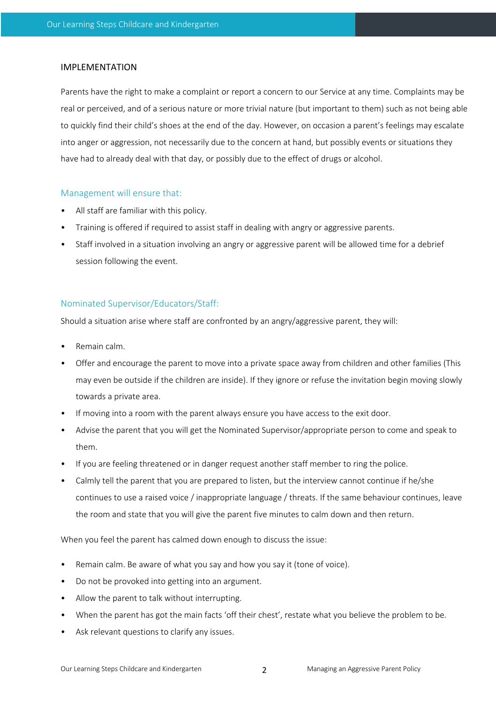#### IMPLEMENTATION

Parents have the right to make a complaint or report a concern to our Service at any time. Complaints may be real or perceived, and of a serious nature or more trivial nature (but important to them) such as not being able to quickly find their child's shoes at the end of the day. However, on occasion a parent's feelings may escalate into anger or aggression, not necessarily due to the concern at hand, but possibly events or situations they have had to already deal with that day, or possibly due to the effect of drugs or alcohol.

#### Management will ensure that:

- All staff are familiar with this policy.
- Training is offered if required to assist staff in dealing with angry or aggressive parents.
- Staff involved in a situation involving an angry or aggressive parent will be allowed time for a debrief session following the event.

# Nominated Supervisor/Educators/Staff:

Should a situation arise where staff are confronted by an angry/aggressive parent, they will:

- Remain calm.
- Offer and encourage the parent to move into a private space away from children and other families (This may even be outside if the children are inside). If they ignore or refuse the invitation begin moving slowly towards a private area.
- If moving into a room with the parent always ensure you have access to the exit door.
- Advise the parent that you will get the Nominated Supervisor/appropriate person to come and speak to them.
- If you are feeling threatened or in danger request another staff member to ring the police.
- Calmly tell the parent that you are prepared to listen, but the interview cannot continue if he/she continues to use a raised voice / inappropriate language / threats. If the same behaviour continues, leave the room and state that you will give the parent five minutes to calm down and then return.

When you feel the parent has calmed down enough to discuss the issue:

- Remain calm. Be aware of what you say and how you say it (tone of voice).
- Do not be provoked into getting into an argument.
- Allow the parent to talk without interrupting.
- When the parent has got the main facts 'off their chest', restate what you believe the problem to be.
- Ask relevant questions to clarify any issues.